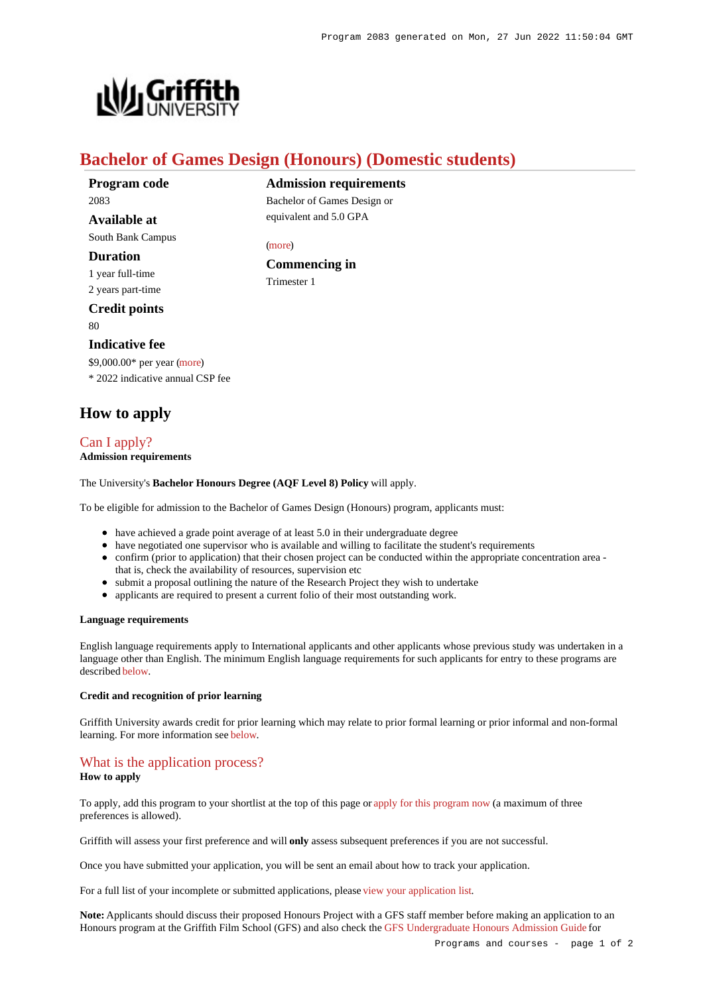

# **Bachelor of Games Design (Honours) (Domestic students)**

**Commencing in**

[\(more](https://www148.griffith.edu.au/programs-courses/Program/2083/HowToApply/Domestic#can-i-apply))

Trimester 1

**Admission requirements** Bachelor of Games Design or equivalent and 5.0 GPA

**Program code** 2083 **Available at**

South Bank Campus

**Duration**

1 year full-time 2 years part-time

**Credit points** 80

#### **Indicative fee**

\$9,000.00\* per year [\(more](https://www148.griffith.edu.au/programs-courses/Program/2083/Overview/Domestic#fees)) \* 2022 indicative annual CSP fee

# **How to apply**

# [Can I apply?](https://www148.griffith.edu.au/programs-courses/Program/2083/HowToApply/Domestic#can-i-apply)

**Admission requirements**

The University's **Bachelor Honours Degree (AQF Level 8) Policy** will apply.

To be eligible for admission to the Bachelor of Games Design (Honours) program, applicants must:

- have achieved a grade point average of at least 5.0 in their undergraduate degree
- have negotiated one supervisor who is available and willing to facilitate the student's requirements
- confirm (prior to application) that their chosen project can be conducted within the appropriate concentration area that is, check the availability of resources, supervision etc
- submit a proposal outlining the nature of the Research Project they wish to undertake
- applicants are required to present a current folio of their most outstanding work.

#### **Language requirements**

English language requirements apply to International applicants and other applicants whose previous study was undertaken in a language other than English. The minimum English language requirements for such applicants for entry to these programs are described [below](https://www148.griffith.edu.au/programs-courses/Program/2083/HowToApply/Domestic#language).

#### **Credit and recognition of prior learning**

Griffith University awards credit for prior learning which may relate to prior formal learning or prior informal and non-formal learning. For more information see [below](https://www148.griffith.edu.au/programs-courses/Program/2083/HowToApply/Domestic#credit).

### [What is the application process?](https://www148.griffith.edu.au/programs-courses/Program/2083/HowToApply/Domestic#process)

#### **How to apply**

To apply, add this program to your shortlist at the top of this page or [apply for this program now](https://www148.griffith.edu.au/online-admissions/Start/Index/DIRECT_UGHONS?applicationTemplateType=ONUGRDDOM) (a maximum of three preferences is allowed).

Griffith will assess your first preference and will **only** assess subsequent preferences if you are not successful.

Once you have submitted your application, you will be sent an email about how to track your application.

For a full list of your incomplete or submitted applications, please [view your application list](https://www148.griffith.edu.au/online-admissions/shortlist/applications).

**Note:** Applicants should discuss their proposed Honours Project with a GFS staff member before making an application to an Honours program at the Griffith Film School (GFS) and also check the [GFS Undergraduate Honours Admission Guide](https://www.griffith.edu.au/__data/assets/pdf_file/0032/1149179/2022-GFS-Hons-Adm-Guide.pdf) for